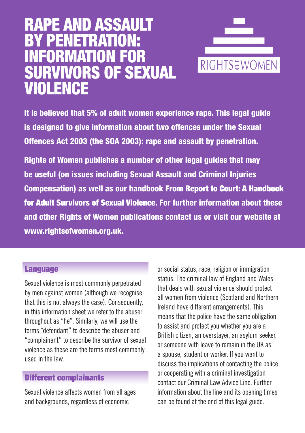# RAPE AND ASSAULT BY PENETRATION: MATION SURVIVORS OF SEXUAL VIOLENCE



It is believed that 5% of adult women experience rape. This legal guide is designed to give information about two offences under the Sexual Offences Act 2003 (the SOA 2003): rape and assault by penetration.

Rights of Women publishes a number of other legal guides that may be useful (on issues including Sexual Assault and Criminal Injuries Compensation) as well as our handbook From Report to Court: A Handbook for Adult Survivors of Sexual Violence. For further information about these and other Rights of Women publications contact us or visit our website at www.rightsofwomen.org.uk.

#### **Language**

Sexual violence is most commonly perpetrated by men against women (although we recognise that this is not always the case). Consequently, in this information sheet we refer to the abuser throughout as "he". Similarly, we will use the terms "defendant" to describe the abuser and "complainant" to describe the survivor of sexual violence as these are the terms most commonly used in the law.

#### Different complainants

Sexual violence affects women from all ages and backgrounds, regardless of economic

or social status, race, religion or immigration status. The criminal law of England and Wales that deals with sexual violence should protect all women from violence (Scotland and Northern Ireland have different arrangements). This means that the police have the same obligation to assist and protect you whether you are a British citizen, an overstayer, an asylum seeker, or someone with leave to remain in the UK as a spouse, student or worker. If you want to discuss the implications of contacting the police or cooperating with a criminal investigation contact our Criminal Law Advice Line. Further information about the line and its opening times can be found at the end of this legal guide.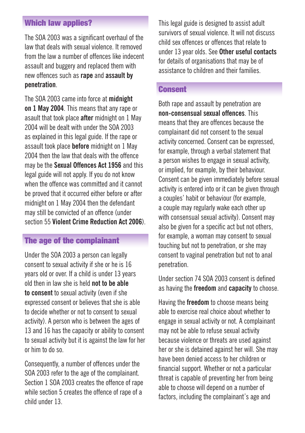#### Which law applies?

The SOA 2003 was a significant overhaul of the law that deals with sexual violence. It removed from the law a number of offences like indecent assault and buggery and replaced them with new offences such as **rape** and **assault by penetration**.

The SOA 2003 came into force at **midnight on 1 May 2004**. This means that any rape or asault that took place **after** midnight on 1 May 2004 will be dealt with under the SOA 2003 as explained in this legal guide. If the rape or assault took place **before** midnight on 1 May 2004 then the law that deals with the offence may be the **Sexual Offences Act 1956** and this legal guide will not apply. If you do not know when the offence was committed and it cannot be proved that it occurred either before or after midnight on 1 May 2004 then the defendant may still be convicted of an offence (under section 55 **Violent Crime Reduction Act 2006**).

#### The age of the complainant

Under the SOA 2003 a person can legally consent to sexual activity if she or he is 16 years old or over. If a child is under 13 years old then in law she is held **not to be able to consent** to sexual activity (even if she expressed consent or believes that she is able to decide whether or not to consent to sexual activity). A person who is between the ages of 13 and 16 has the capacity or ability to consent to sexual activity but it is against the law for her or him to do so.

Consequently, a number of offences under the SOA 2003 refer to the age of the complainant. Section 1 SOA 2003 creates the offence of rape while section 5 creates the offence of rape of a child under 13.

This legal guide is designed to assist adult survivors of sexual violence. It will not discuss child sex offences or offences that relate to under 13 year olds. See **Other useful contacts** for details of organisations that may be of assistance to children and their families.

### Consent

Both rape and assault by penetration are **non-consensual sexual offences**. This means that they are offences because the complainant did not consent to the sexual activity concerned. Consent can be expressed, for example, through a verbal statement that a person wishes to engage in sexual activity, or implied, for example, by their behaviour. Consent can be given immediately before sexual activity is entered into or it can be given through a couples' habit or behaviour (for example, a couple may regularly wake each other up with consensual sexual activity). Consent may also be given for a specific act but not others, for example, a woman may consent to sexual touching but not to penetration, or she may consent to vaginal penetration but not to anal penetration.

Under section 74 SOA 2003 consent is defined as having the **freedom** and **capacity** to choose.

Having the **freedom** to choose means being able to exercise real choice about whether to engage in sexual activity or not. A complainant may not be able to refuse sexual activity because violence or threats are used against her or she is detained against her will. She may have been denied access to her children or financial support. Whether or not a particular threat is capable of preventing her from being able to choose will depend on a number of factors, including the complainant's age and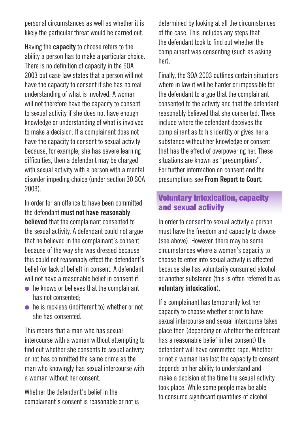personal circumstances as well as whether it is likely the particular threat would be carried out.

Having the **capacity** to choose refers to the ability a person has to make a particular choice. There is no definition of capacity in the SOA 2003 but case law states that a person will not have the capacity to consent if she has no real understanding of what is involved. A woman will not therefore have the capacity to consent to sexual activity if she does not have enough knowledge or understanding of what is involved to make a decision. If a complainant does not have the capacity to consent to sexual activity because, for example, she has severe learning difficulties, then a defendant may be charged with sexual activity with a person with a mental disorder impeding choice (under section 30 SOA 2003).

In order for an offence to have been committed the defendant **must not have reasonably believed** that the complainant consented to the sexual activity. A defendant could not argue that he believed in the complainant's consent because of the way she was dressed because this could not reasonably effect the defendant's belief (or lack of belief) in consent. A defendant will not have a reasonable belief in consent if:

- $\bullet$  he knows or believes that the complainant has not consented;
- $\bullet$  he is reckless (indifferent to) whether or not she has consented.

This means that a man who has sexual intercourse with a woman without attempting to find out whether she consents to sexual activity or not has committed the same crime as the man who knowingly has sexual intercourse with a woman without her consent.

Whether the defendant's belief in the complainant's consent is reasonable or not is determined by looking at all the circumstances of the case. This includes any steps that the defendant took to find out whether the complainant was consenting (such as asking her).

Finally, the SOA 2003 outlines certain situations where in law it will be harder or impossible for the defendant to argue that the complainant consented to the activity and that the defendant reasonably believed that she consented. These include where the defendant deceives the complainant as to his identity or gives her a substance without her knowledge or consent that has the effect of overpowering her. These situations are known as "presumptions". For further information on consent and the presumptions see **From Report to Court**.

#### Voluntary intoxication, capacity and sexual activity

In order to consent to sexual activity a person must have the freedom and capacity to choose (see above). However, there may be some circumstances where a woman's capacity to choose to enter into sexual activity is affected because she has voluntarily consumed alcohol or another substance (this is often referred to as **voluntary intoxication**).

If a complainant has temporarily lost her capacity to choose whether or not to have sexual intercourse and sexual intercourse takes place then (depending on whether the defendant has a reasonable belief in her consent) the defendant will have committed rape. Whether or not a woman has lost the capacity to consent depends on her ability to understand and make a decision at the time the sexual activity took place. While some people may be able to consume significant quantities of alcohol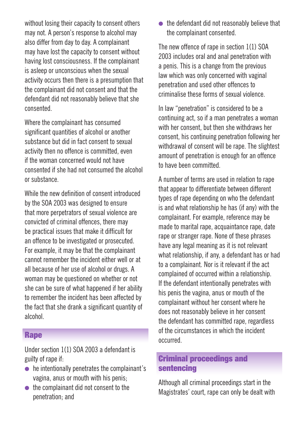without losing their capacity to consent others may not. A person's response to alcohol may also differ from day to day. A complainant may have lost the capacity to consent without having lost consciousness. If the complainant is asleep or unconscious when the sexual activity occurs then there is a presumption that the complainant did not consent and that the defendant did not reasonably believe that she consented.

Where the complainant has consumed significant quantities of alcohol or another substance but did in fact consent to sexual activity then no offence is committed, even if the woman concerned would not have consented if she had not consumed the alcohol or substance.

While the new definition of consent introduced by the SOA 2003 was designed to ensure that more perpetrators of sexual violence are convicted of criminal offences, there may be practical issues that make it difficult for an offence to be investigated or prosecuted. For example, it may be that the complainant cannot remember the incident either well or at all because of her use of alcohol or drugs. A woman may be questioned on whether or not she can be sure of what happened if her ability to remember the incident has been affected by the fact that she drank a significant quantity of alcohol.

#### **Rape**

Under section 1(1) SOA 2003 a defendant is guilty of rape if:

- $\bullet$  he intentionally penetrates the complainant's vagina, anus or mouth with his penis;
- $\bullet$  the complainant did not consent to the penetration; and

 $\bullet$  the defendant did not reasonably believe that the complainant consented.

The new offence of rape in section 1(1) SOA 2003 includes oral and anal penetration with a penis. This is a change from the previous law which was only concerned with vaginal penetration and used other offences to criminalise these forms of sexual violence.

In law "penetration" is considered to be a continuing act, so if a man penetrates a woman with her consent, but then she withdraws her consent, his continuing penetration following her withdrawal of consent will be rape. The slightest amount of penetration is enough for an offence to have been committed.

A number of terms are used in relation to rape that appear to differentiate between different types of rape depending on who the defendant is and what relationship he has (if any) with the complainant. For example, reference may be made to marital rape, acquaintance rape, date rape or stranger rape. None of these phrases have any legal meaning as it is not relevant what relationship, if any, a defendant has or had to a complainant. Nor is it relevant if the act complained of occurred within a relationship. If the defendant intentionally penetrates with his penis the vagina, anus or mouth of the complainant without her consent where he does not reasonably believe in her consent the defendant has committed rape, regardless of the circumstances in which the incident occurred.

## Criminal proceedings and sentencing

Although all criminal proceedings start in the Magistrates' court, rape can only be dealt with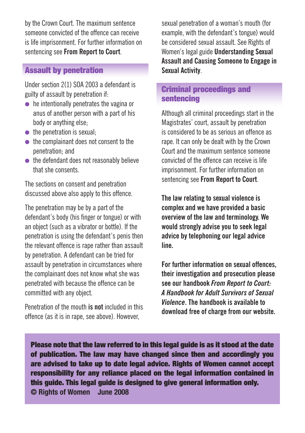by the Crown Court. The maximum sentence someone convicted of the offence can receive is life imprisonment. For further information on sentencing see **From Report to Court**.

### Assault by penetration

Under section 2(1) SOA 2003 a defendant is guilty of assault by penetration if:

- $\bullet$  he intentionally penetrates the vagina or anus of another person with a part of his body or anything else;
- $\bullet$  the penetration is sexual:
- $\bullet$  the complainant does not consent to the penetration; and
- $\bullet$  the defendant does not reasonably believe that she consents.

The sections on consent and penetration discussed above also apply to this offence.

The penetration may be by a part of the defendant's body (his finger or tongue) or with an object (such as a vibrator or bottle). If the penetration is using the defendant's penis then the relevant offence is rape rather than assault by penetration. A defendant can be tried for assault by penetration in circumstances where the complainant does not know what she was penetrated with because the offence can be committed with any object.

Penetration of the mouth **is not** included in this offence (as it is in rape, see above). However,

sexual penetration of a woman's mouth (for example, with the defendant's tongue) would be considered sexual assault. See Rights of Women's legal guide **Understanding Sexual Assault and Causing Someone to Engage in Sexual Activity**.

#### Criminal proceedings and sentencing

Although all criminal proceedings start in the Magistrates' court, assault by penetration is considered to be as serious an offence as rape. It can only be dealt with by the Crown Court and the maximum sentence someone convicted of the offence can receive is life imprisonment. For further information on sentencing see **From Report to Court**.

**The law relating to sexual violence is complex and we have provided a basic overview of the law and terminology. We would strongly advise you to seek legal advice by telephoning our legal advice line.** 

**For further information on sexual offences, their investigation and prosecution please see our handbook** *From Report to Court: A Handbook for Adult Survivors of Sexual Violence***. The handbook is available to download free of charge from our website.**

Please note that the law referred to in this legal guide is as it stood at the date of publication. The law may have changed since then and accordingly you are advised to take up to date legal advice. Rights of Women cannot accept responsibility for any reliance placed on the legal information contained in this guide. This legal guide is designed to give general information only. **© Rights of Women June 2008**